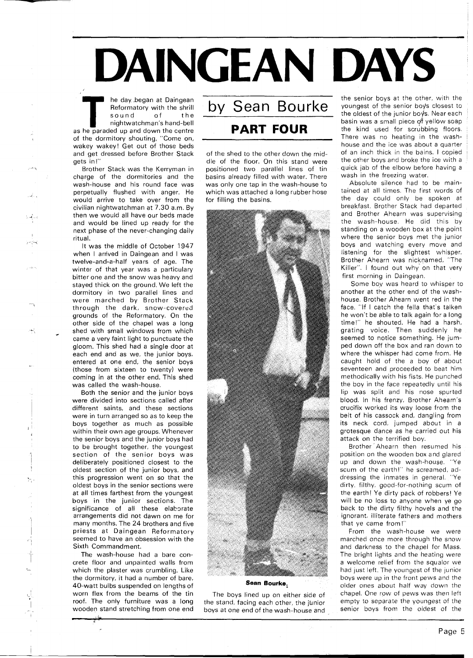## **DAlNGEAN DAYS**

**The day began at Daingean**<br>
Reformatory with the shrill<br>
so u n d of the<br>
nightwatchman's hand-bell<br>
as he paraded up and down the centre Reformatory with the shrill sound of the nightwatchman's hand-bell

of the dormitory shouting, "Come on, wakey wakey! Get out of those beds and get dressed before Brother Stack gets in!"

Brother Stack was the Kerryman in charge of the dormitories and the wash-house and his round face was perpetually flushed with anger. He would arrive to take over from the civilian nightwatchman at 7.30 a.m. By then we would all have our beds made and would be lined up ready for the next phase of the never-changing daily ritual.

It was the middle of October 1947 when I arrived in Daingean and I was twelve-and-a-half years of age. The winter of that year was a particulary bitter one and the snow was heavy and stayed thick on the ground. We left the dormitory in two parallel lines and were marched by Brother Stack through the dark, snow-covered grounds of the Reformatory. On the other side of the chapel was a long shed with small windows from which came a very faint light to punctuate the gloom. This shed had a single door at each end and as we, the junior boys, entered at one end, the senior boys (those from sixteen to twenty) were coming in at the other end. This shed was called the wash-house.

Both the senior and the junior boys were divided into sections called after different saints, and these sections were in turn arranged so as to keep the boys together as much as possible within their own age groups. Whenever the senior boys and the junior boys had to be brought together, the youngest section of the senior boys was deliberately positioned closest to the oldest section of the junior boys, and this progression went on so that the oldest boys in the senior sections were at all times farthest from the youngest boys in the junior sections. The significance of all these elaborate arrangements did not dawn on me for many months. The 24 brothers and five priests at Daingean Reformatory seemed to have an obsession with the Sixth Commandment.

The wash-house had a bare concrete floor and unpainted walls from which the plaster was crumbling. Like the dormitory, it had a number of bare. 40-watt bulbs suspended on lengths of worn flex from the beams of the tin roof. The only furniture was a long wooden stand stretching from one end

## by Sean Bourke **PART FOUR**

of the shed to the other down the middle of the floor. On this stand were positioned two parallel lines of tin basins already filled with water. There was only one tap in the wash-house to which was attached a long rubber hose for filling the basins.



Scan **Bourke,** 

The boys lined up on either side of the stand, facing each other, the junior boys at one end of the wash-house and

the senior boys at the other, with the youngest of the senlor boys closest to the oldest of the junior boys. Near each basin was a small piece of yellow soap the kind used for scrubbing floors. There was no heating in the washhouse and the ice was about a quarter of an inch thick in the bains. I copied the other boys and broke the ice with a quick jab of the elbow before having a wash in the freezing water.

Absolute silence had to be maintained at all times. The first words of the day could only be spoken at breakfast. Brother Stack had departed and Brother Ahearn was supervising the wash-house. He did this by standing on a wooden box at the point where the senior boys met the junior boys and watching every move and listening for the slightest whisper. Brother Ahearn was nicknamed, "The Killer". I found out why on that very first morning in Daingean.

Some boy was heard to whisper to another at the other end of the washhouse. Brother Ahearn went red in the face. "If I catch the fella that's talken he won't be able to talk again for a long time!" he shouted. He had a harsh. grating voice. Then suddenly he seemed to notice something. He jumped down off the box and ran down to where the whisper had come from. He caught hold of the a boy of about seventeen and proceeded to beat him methodically with his fists. He punched the boy in the face repeatedly until his lip was split and his nose spurted blood. In his frenzy, Brother Ahearn's crucifix worked its way loose from the belt of his cassock and, dangling from its neck cord, jumped about in a grotesque dance as he carried out his attack on the terrified boy.

Brother'Ahearn then resumed his position on the wooden box and glared up and down the wash-house. "Ye scum of the earth!" he screamed, addressing the inmates in general. "Ye dirty, filthy, good-for-nothing scum of the earth! Ye dirty pack of robbers! Ye will be no loss to anyone when ye go back to the dirty filthy hovels and the ignorant, illiterate fathers and mothers that ye came from!"

From the wash-house we were marched once more through the snow and darkness to the chapel for Mass. The bright lights and the heating were a welcome relief from the squalor we had just left. The youngest of the junior boys were up in the front pews and the older ones about half way down the chapel. One row of pews was then left empty to separate the youngest of the senior boys from the oldest of the